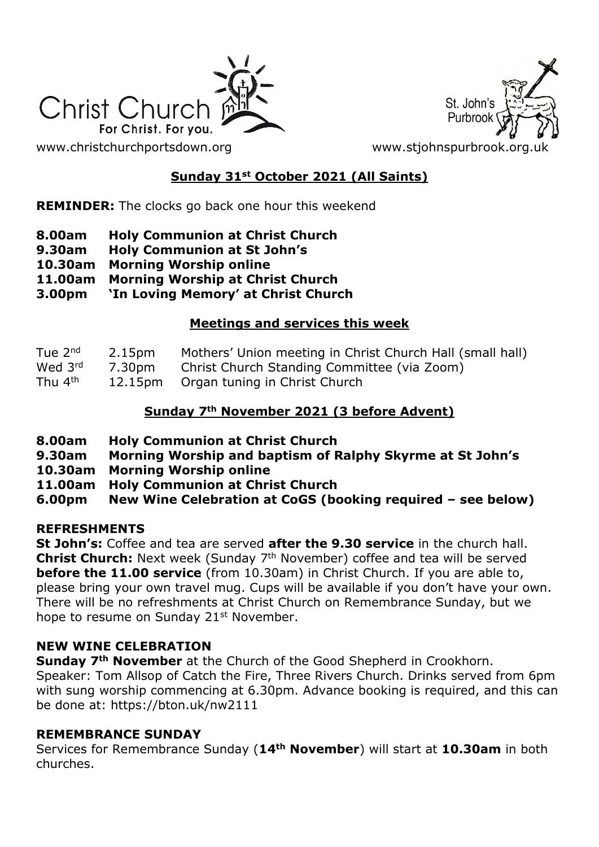



## **Sunday 31st October 2021 (All Saints)**

**REMINDER:** The clocks go back one hour this weekend

- **8.00am Holy Communion at Christ Church**
- **9.30am Holy Communion at St John's**
- **10.30am Morning Worship online**
- **11.00am Morning Worship at Christ Church**
- **3.00pm 'In Loving Memory' at Christ Church**

### **Meetings and services this week**

| Tue 2 <sup>nd</sup> | 2.15pm | Mothers' Union meeting in Christ Church Hall (small hall) |
|---------------------|--------|-----------------------------------------------------------|
| Wed 3rd             | 7.30pm | Christ Church Standing Committee (via Zoom)               |
| Thu 4 <sup>th</sup> |        | 12.15pm Organ tuning in Christ Church                     |

### **Sunday 7th November 2021 (3 before Advent)**

- **8.00am Holy Communion at Christ Church**
- **9.30am Morning Worship and baptism of Ralphy Skyrme at St John's**
- **10.30am Morning Worship online**
- **11.00am Holy Communion at Christ Church**
- **6.00pm New Wine Celebration at CoGS (booking required – see below)**

#### **REFRESHMENTS**

**St John's:** Coffee and tea are served **after the 9.30 service** in the church hall. **Christ Church:** Next week (Sunday 7<sup>th</sup> November) coffee and tea will be served **before the 11.00 service** (from 10.30am) in Christ Church. If you are able to, please bring your own travel mug. Cups will be available if you don't have your own. There will be no refreshments at Christ Church on Remembrance Sunday, but we hope to resume on Sunday 21<sup>st</sup> November.

#### **NEW WINE CELEBRATION**

**Sunday 7th November** at the Church of the Good Shepherd in Crookhorn. Speaker: Tom Allsop of Catch the Fire, Three Rivers Church. Drinks served from 6pm with sung worship commencing at 6.30pm. Advance booking is required, and this can be done at: https://bton.uk/nw2111

#### **REMEMBRANCE SUNDAY**

Services for Remembrance Sunday (**14th November**) will start at **10.30am** in both churches.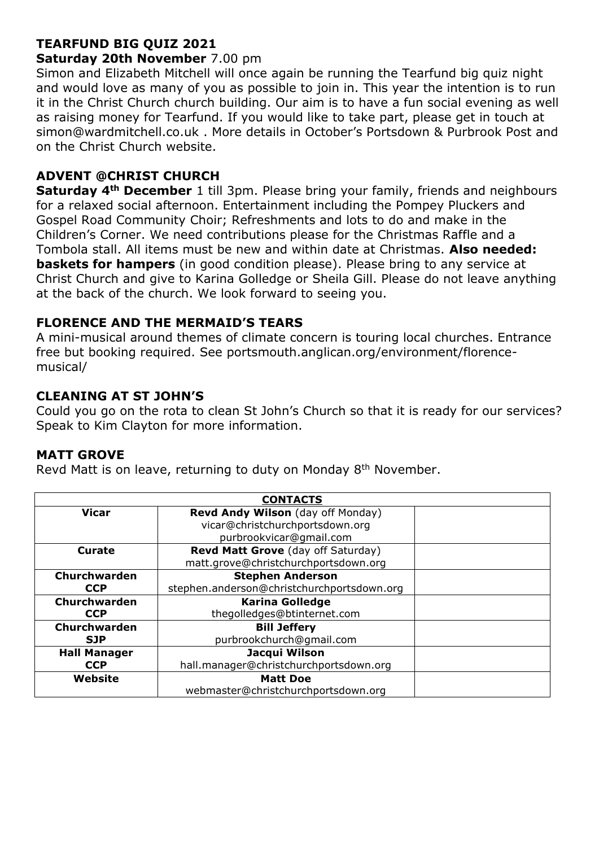## **TEARFUND BIG QUIZ 2021**

#### **Saturday 20th November** 7.00 pm

Simon and Elizabeth Mitchell will once again be running the Tearfund big quiz night and would love as many of you as possible to join in. This year the intention is to run it in the Christ Church church building. Our aim is to have a fun social evening as well as raising money for Tearfund. If you would like to take part, please get in touch at simon@wardmitchell.co.uk . More details in October's Portsdown & Purbrook Post and on the Christ Church website.

### **ADVENT @CHRIST CHURCH**

**Saturday 4th December** 1 till 3pm. Please bring your family, friends and neighbours for a relaxed social afternoon. Entertainment including the Pompey Pluckers and Gospel Road Community Choir; Refreshments and lots to do and make in the Children's Corner. We need contributions please for the Christmas Raffle and a Tombola stall. All items must be new and within date at Christmas. **Also needed: baskets for hampers** (in good condition please). Please bring to any service at Christ Church and give to Karina Golledge or Sheila Gill. Please do not leave anything at the back of the church. We look forward to seeing you.

### **FLORENCE AND THE MERMAID'S TEARS**

A mini-musical around themes of climate concern is touring local churches. Entrance free but booking required. See portsmouth.anglican.org/environment/florencemusical/

### **CLEANING AT ST JOHN'S**

Could you go on the rota to clean St John's Church so that it is ready for our services? Speak to Kim Clayton for more information.

#### **MATT GROVE**

Revd Matt is on leave, returning to duty on Monday 8<sup>th</sup> November.

| <b>CONTACTS</b>     |                                            |  |  |
|---------------------|--------------------------------------------|--|--|
| <b>Vicar</b>        | Revd Andy Wilson (day off Monday)          |  |  |
|                     | vicar@christchurchportsdown.org            |  |  |
|                     | purbrookvicar@gmail.com                    |  |  |
| Curate              | Revd Matt Grove (day off Saturday)         |  |  |
|                     | matt.grove@christchurchportsdown.org       |  |  |
| Churchwarden        | <b>Stephen Anderson</b>                    |  |  |
| <b>CCP</b>          | stephen.anderson@christchurchportsdown.org |  |  |
| Churchwarden        | <b>Karina Golledge</b>                     |  |  |
| <b>CCP</b>          | thegolledges@btinternet.com                |  |  |
| Churchwarden        | <b>Bill Jeffery</b>                        |  |  |
| <b>SJP</b>          | purbrookchurch@gmail.com                   |  |  |
| <b>Hall Manager</b> | Jacqui Wilson                              |  |  |
| <b>CCP</b>          | hall.manager@christchurchportsdown.org     |  |  |
| Website             | <b>Matt Doe</b>                            |  |  |
|                     | webmaster@christchurchportsdown.org        |  |  |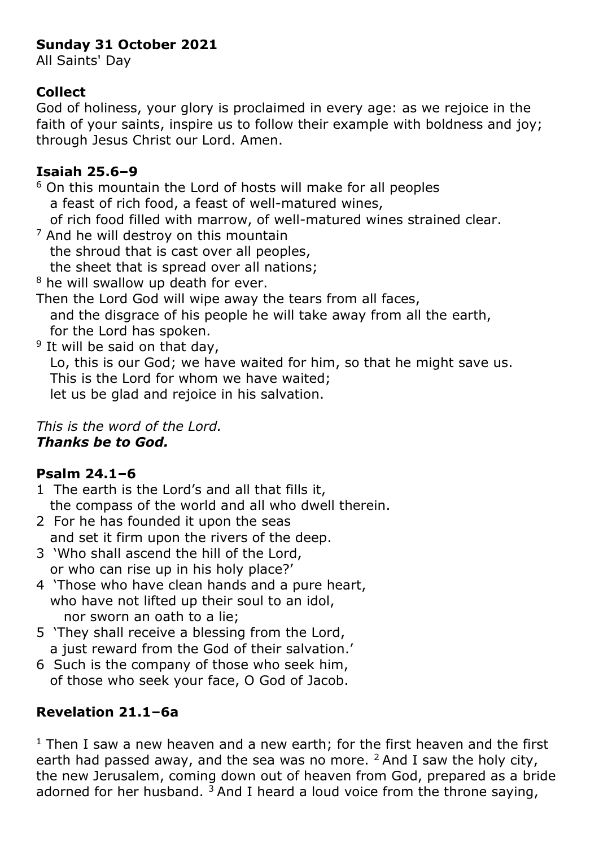# **Sunday 31 October 2021**

All Saints' Day

# **Collect**

God of holiness, your glory is proclaimed in every age: as we rejoice in the faith of your saints, inspire us to follow their example with boldness and joy; through Jesus Christ our Lord. Amen.

# **Isaiah 25.6–9**

<sup>6</sup> On this mountain the Lord of hosts will make for all peoples a feast of rich food, a feast of well-matured wines, of rich food filled with marrow, of well-matured wines strained clear.

- $<sup>7</sup>$  And he will destroy on this mountain</sup> the shroud that is cast over all peoples, the sheet that is spread over all nations; <sup>8</sup> he will swallow up death for ever.
- Then the Lord God will wipe away the tears from all faces, and the disgrace of his people he will take away from all the earth, for the Lord has spoken.

<sup>9</sup> It will be said on that day, Lo, this is our God; we have waited for him, so that he might save us. This is the Lord for whom we have waited; let us be glad and rejoice in his salvation.

## *This is the word of the Lord. Thanks be to God.*

# **Psalm 24.1–6**

- 1 The earth is the Lord's and all that fills it, the compass of the world and all who dwell therein.
- 2 For he has founded it upon the seas and set it firm upon the rivers of the deep.
- 3 'Who shall ascend the hill of the Lord, or who can rise up in his holy place?'
- 4 'Those who have clean hands and a pure heart, who have not lifted up their soul to an idol, nor sworn an oath to a lie;
- 5 'They shall receive a blessing from the Lord, a just reward from the God of their salvation.'
- 6 Such is the company of those who seek him, of those who seek your face, O God of Jacob.

# **Revelation 21.1–6a**

 $1$  Then I saw a new heaven and a new earth; for the first heaven and the first earth had passed away, and the sea was no more.  $2$  And I saw the holy city, the new Jerusalem, coming down out of heaven from God, prepared as a bride adorned for her husband.  $3$  And I heard a loud voice from the throne saying,